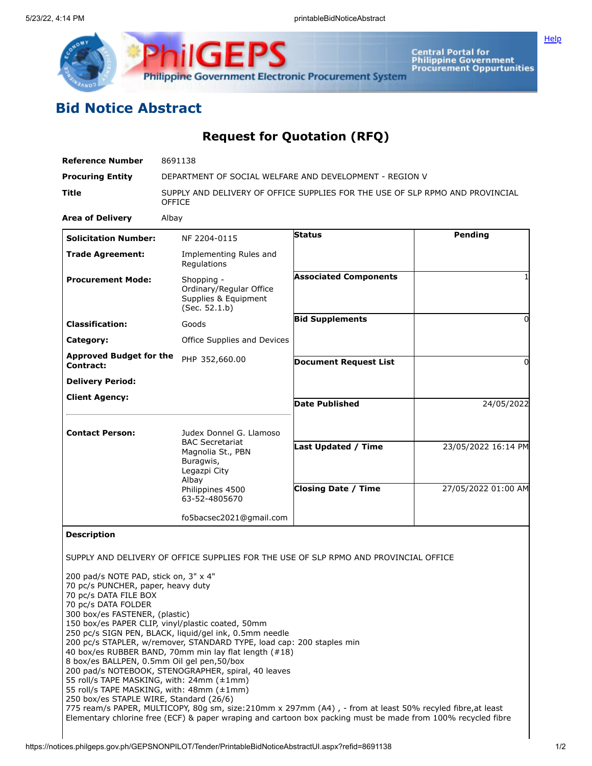

**[Help](javascript:void(window.open()** 



**Central Portal for<br>Philippine Government<br>Procurement Oppurtunities** 

## **Bid Notice Abstract**

## **Request for Quotation (RFQ)**

| <b>Reference Number</b>                                                                                                                                                                                                                                                                             | 8691138                                                                                                                                                                                                                                                                                                                                                                                                                                                                                                                                                                         |                                                   |                                            |
|-----------------------------------------------------------------------------------------------------------------------------------------------------------------------------------------------------------------------------------------------------------------------------------------------------|---------------------------------------------------------------------------------------------------------------------------------------------------------------------------------------------------------------------------------------------------------------------------------------------------------------------------------------------------------------------------------------------------------------------------------------------------------------------------------------------------------------------------------------------------------------------------------|---------------------------------------------------|--------------------------------------------|
| <b>Procuring Entity</b>                                                                                                                                                                                                                                                                             | DEPARTMENT OF SOCIAL WELFARE AND DEVELOPMENT - REGION V                                                                                                                                                                                                                                                                                                                                                                                                                                                                                                                         |                                                   |                                            |
| Title                                                                                                                                                                                                                                                                                               | SUPPLY AND DELIVERY OF OFFICE SUPPLIES FOR THE USE OF SLP RPMO AND PROVINCIAL<br><b>OFFICE</b>                                                                                                                                                                                                                                                                                                                                                                                                                                                                                  |                                                   |                                            |
| <b>Area of Delivery</b>                                                                                                                                                                                                                                                                             | Albay                                                                                                                                                                                                                                                                                                                                                                                                                                                                                                                                                                           |                                                   |                                            |
| <b>Solicitation Number:</b>                                                                                                                                                                                                                                                                         | NF 2204-0115                                                                                                                                                                                                                                                                                                                                                                                                                                                                                                                                                                    | Status                                            | Pending                                    |
| <b>Trade Agreement:</b>                                                                                                                                                                                                                                                                             | Implementing Rules and<br>Regulations                                                                                                                                                                                                                                                                                                                                                                                                                                                                                                                                           |                                                   |                                            |
| <b>Procurement Mode:</b>                                                                                                                                                                                                                                                                            | Shopping -<br>Ordinary/Regular Office<br>Supplies & Equipment<br>(Sec. 52.1.b)                                                                                                                                                                                                                                                                                                                                                                                                                                                                                                  | <b>Associated Components</b>                      |                                            |
| <b>Classification:</b>                                                                                                                                                                                                                                                                              | Goods                                                                                                                                                                                                                                                                                                                                                                                                                                                                                                                                                                           | <b>Bid Supplements</b>                            | $\Omega$                                   |
| Category:                                                                                                                                                                                                                                                                                           | Office Supplies and Devices                                                                                                                                                                                                                                                                                                                                                                                                                                                                                                                                                     |                                                   |                                            |
| <b>Approved Budget for the</b><br>Contract:                                                                                                                                                                                                                                                         | PHP 352,660.00                                                                                                                                                                                                                                                                                                                                                                                                                                                                                                                                                                  | <b>Document Request List</b>                      | 0                                          |
| <b>Delivery Period:</b>                                                                                                                                                                                                                                                                             |                                                                                                                                                                                                                                                                                                                                                                                                                                                                                                                                                                                 |                                                   |                                            |
| <b>Client Agency:</b>                                                                                                                                                                                                                                                                               |                                                                                                                                                                                                                                                                                                                                                                                                                                                                                                                                                                                 | <b>Date Published</b>                             | 24/05/2022                                 |
| <b>Contact Person:</b>                                                                                                                                                                                                                                                                              | Judex Donnel G. Llamoso<br><b>BAC Secretariat</b><br>Magnolia St., PBN<br>Buragwis,<br>Legazpi City<br>Albay<br>Philippines 4500<br>63-52-4805670                                                                                                                                                                                                                                                                                                                                                                                                                               | Last Updated / Time<br><b>Closing Date / Time</b> | 23/05/2022 16:14 PM<br>27/05/2022 01:00 AM |
|                                                                                                                                                                                                                                                                                                     | fo5bacsec2021@gmail.com                                                                                                                                                                                                                                                                                                                                                                                                                                                                                                                                                         |                                                   |                                            |
| <b>Description</b>                                                                                                                                                                                                                                                                                  |                                                                                                                                                                                                                                                                                                                                                                                                                                                                                                                                                                                 |                                                   |                                            |
|                                                                                                                                                                                                                                                                                                     | SUPPLY AND DELIVERY OF OFFICE SUPPLIES FOR THE USE OF SLP RPMO AND PROVINCIAL OFFICE                                                                                                                                                                                                                                                                                                                                                                                                                                                                                            |                                                   |                                            |
| 200 pad/s NOTE PAD, stick on, 3" x 4"<br>70 pc/s PUNCHER, paper, heavy duty<br>70 pc/s DATA FILE BOX<br>70 pc/s DATA FOLDER<br>300 box/es FASTENER, (plastic)<br>8 box/es BALLPEN, 0.5mm Oil gel pen,50/box<br>55 roll/s TAPE MASKING, with: 48mm (±1mm)<br>250 box/es STAPLE WIRE, Standard (26/6) | 150 box/es PAPER CLIP, vinyl/plastic coated, 50mm<br>250 pc/s SIGN PEN, BLACK, liquid/gel ink, 0.5mm needle<br>200 pc/s STAPLER, w/remover, STANDARD TYPE, load cap: 200 staples min<br>40 box/es RUBBER BAND, 70mm min lay flat length (#18)<br>200 pad/s NOTEBOOK, STENOGRAPHER, spiral, 40 leaves<br>55 roll/s TAPE MASKING, with: 24mm (±1mm)<br>775 ream/s PAPER, MULTICOPY, 80g sm, size: 210mm x 297mm (A4), - from at least 50% recyled fibre, at least<br>Elementary chlorine free (ECF) & paper wraping and cartoon box packing must be made from 100% recycled fibre |                                                   |                                            |